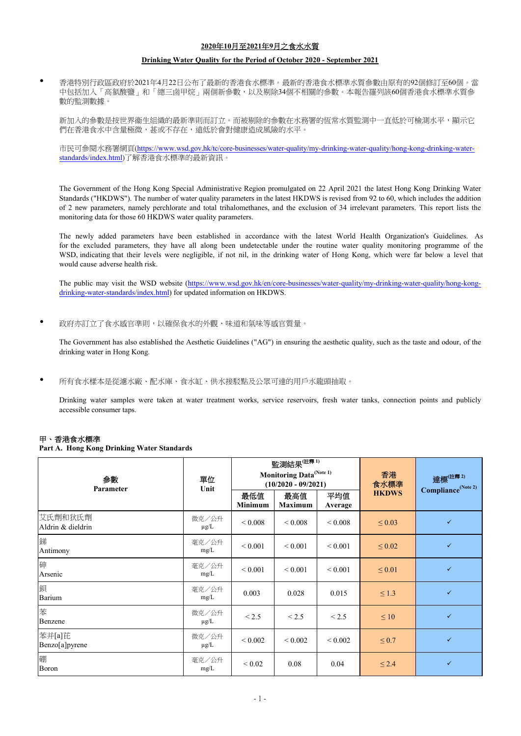### **2020**年**10**月至**2021**年**9**月之食水水質

#### **Drinking Water Quality for the Period of October 2020 - September 2021**

香港特別行政區政府於2021年4月22日公布了最新的香港食水標準。最新的香港食水標準水質參數由原有的92個修訂至60個。當 中包括加入「高氯酸鹽」和「總三鹵甲烷」兩個新參數,以及剔除34個不相關的參數。本報告羅列該60個香港食水標準水質參 數的監測數據。

新加入的參數是按世界衞生組織的最新準則而訂立。而被剔除的參數在水務署的恆常水質監測中一直低於可檢測水平,顯示它 們在香港食水中含量極微,甚或不存在,遠低於會對健康造成風險的水平。

市民可參閱水務署網頁(https://www.wsd.gov.hk/tc/core-businesses/water-quality/my-drinking-water-quality/hong-kong-drinking-waterstandards/index.html)了解香港食水標準的最新資訊。

The Government of the Hong Kong Special Administrative Region promulgated on 22 April 2021 the latest Hong Kong Drinking Water Standards ("HKDWS"). The number of water quality parameters in the latest HKDWS is revised from 92 to 60, which includes the addition of 2 new parameters, namely perchlorate and total trihalomethanes, and the exclusion of 34 irrelevant parameters. This report lists the monitoring data for those 60 HKDWS water quality parameters.

The newly added parameters have been established in accordance with the latest World Health Organization's Guidelines. As for the excluded parameters, they have all along been undetectable under the routine water quality monitoring programme of the WSD, indicating that their levels were negligible, if not nil, in the drinking water of Hong Kong, which were far below a level that would cause adverse health risk.

The public may visit the WSD website (https://www.wsd.gov.hk/en/core-businesses/water-quality/my-drinking-water-quality/hong-kongdrinking-water-standards/index.html) for updated information on HKDWS.

 $\bullet$ 政府亦訂立了食水感官準則,以確保食水的外觀、味道和氣味等感官質量。

The Government has also established the Aesthetic Guidelines ("AG") in ensuring the aesthetic quality, such as the taste and odour, of the drinking water in Hong Kong.

 $\bullet$ 所有食水樣本是從濾水廠、配水庫、食水缸、供水接駁點及公眾可達的用戶水龍頭抽取。

Drinking water samples were taken at water treatment works, service reservoirs, fresh water tanks, connection points and publicly accessible consumer taps.

#### 甲、香港食水標準

 $\bullet$ 

#### **Part A. Hong Kong Drinking Water Standards**

| 参數<br>Parameter              | 單位<br>Unit         | 監測結果 $\overline{\mathbb{H}^{\mathbb{R}}^{1}}$<br>Monitoring Data <sup>(Note 1)</sup><br>$(10/2020 - 09/2021)$ |                   |                | 香港<br>食水標準   | 達標(註釋2)<br>Compliance <sup>(Note 2)</sup> |
|------------------------------|--------------------|---------------------------------------------------------------------------------------------------------------|-------------------|----------------|--------------|-------------------------------------------|
|                              |                    | 最低值<br>Minimum                                                                                                | 最高值<br>Maximum    | 平均值<br>Average | <b>HKDWS</b> |                                           |
| 艾氏劑和狄氏劑<br>Aldrin & dieldrin | 微克/公升<br>$\mu$ g/L | ${}_{0.008}$                                                                                                  | ${}_{\leq 0.008}$ | ${}_{0.008}$   | $\leq 0.03$  | $\checkmark$                              |
| 銻<br>Antimony                | 毫克/公升<br>mg/L      | ${}_{0.001}$                                                                                                  | ${}_{0.001}$      | ${}_{0.001}$   | $\leq 0.02$  | $\checkmark$                              |
| 砷<br>Arsenic                 | 毫克/公升<br>mg/L      | ${}_{0.001}$                                                                                                  | ${}_{0.001}$      | ${}_{0.001}$   | $\leq 0.01$  | $\checkmark$                              |
| 鋇<br>Barium                  | 毫克/公升<br>mg/L      | 0.003                                                                                                         | 0.028             | 0.015          | $\leq 1.3$   | $\checkmark$                              |
| 苯<br>Benzene                 | 微克/公升<br>$\mu$ g/L | < 2.5                                                                                                         | < 2.5             | < 2.5          | $\leq 10$    | $\checkmark$                              |
| 苯并[a]芘<br>Benzo[a]pyrene     | 微克/公升<br>$\mu$ g/L | ${}_{0.002}$                                                                                                  | ${}< 0.002$       | ${}< 0.002$    | $\leq 0.7$   | $\checkmark$                              |
| 硼<br>Boron                   | 毫克/公升<br>mg/L      | ${}_{0.02}$                                                                                                   | 0.08              | 0.04           | $\leq 2.4$   | $\checkmark$                              |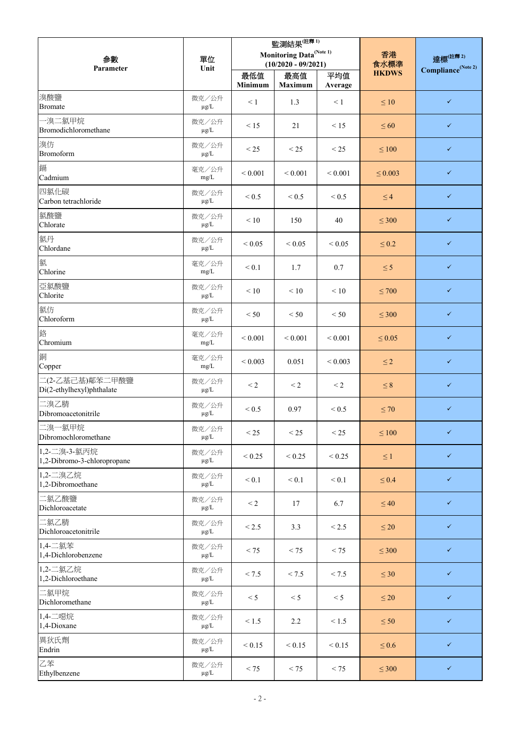| 参數                                           | 單位                 | 監測結果 $\overline{\mathbb{H}^{\mathbb{H}^{\mathbb{R}}_{1}}}$<br>Monitoring Data <sup>(Note 1)</sup> |                       |                 | 香港                   | 達標(註釋2)                        |
|----------------------------------------------|--------------------|---------------------------------------------------------------------------------------------------|-----------------------|-----------------|----------------------|--------------------------------|
| Parameter                                    | Unit               |                                                                                                   | $(10/2020 - 09/2021)$ |                 | 食水標準<br><b>HKDWS</b> | Compliance <sup>(Note 2)</sup> |
|                                              |                    | 最低值<br>Minimum                                                                                    | 最高值<br><b>Maximum</b> | 平均值<br>Average  |                      |                                |
| 溴酸鹽<br><b>Bromate</b>                        | 微克/公升<br>$\mu$ g/L | $\leq 1$                                                                                          | 1.3                   | $\leq 1$        | $\leq 10$            | $\checkmark$                   |
| 一溴二氯甲烷<br>Bromodichloromethane               | 微克/公升<br>$\mu$ g/L | $\leq 15$                                                                                         | 21                    | < 15            | $\leq 60$            | $\checkmark$                   |
| 溴仿<br><b>Bromoform</b>                       | 微克/公升<br>$\mu$ g/L | < 25                                                                                              | < 25                  | < 25            | $\leq 100$           | $\checkmark$                   |
| 鎘<br>Cadmium                                 | 毫克/公升<br>mg/L      | ${}< 0.001$                                                                                       | ${}< 0.001$           | ${}< 0.001$     | $\leq 0.003$         | $\checkmark$                   |
| 四氯化碳<br>Carbon tetrachloride                 | 微克/公升<br>$\mu$ g/L | ${}_{\leq 0.5}$                                                                                   | ${}_{\leq 0.5}$       | < 0.5           | $\leq$ 4             | $\checkmark$                   |
| 氯酸鹽<br>Chlorate                              | 微克/公升<br>$\mu$ g/L | < 10                                                                                              | 150                   | 40              | $\leq 300$           | $\checkmark$                   |
| 氯丹<br>Chlordane                              | 微克/公升<br>$\mu$ g/L | ${}< 0.05$                                                                                        | ${}< 0.05$            | ${}< 0.05$      | $\leq 0.2$           | $\checkmark$                   |
| 氯<br>Chlorine                                | 毫克/公升<br>mg/L      | < 0.1                                                                                             | 1.7                   | 0.7             | $\leq$ 5             | $\checkmark$                   |
| 亞氯酸鹽<br>Chlorite                             | 微克/公升<br>$\mu$ g/L | < 10                                                                                              | $\leq 10$             | < 10            | $\leq 700$           | $\checkmark$                   |
| 氯仿<br>Chloroform                             | 微克/公升<br>$\mu$ g/L | < 50                                                                                              | < 50                  | < 50            | $\leq 300$           | $\checkmark$                   |
| 鉻<br>Chromium                                | 毫克/公升<br>mg/L      | ${}< 0.001$                                                                                       | ${}< 0.001$           | ${}< 0.001$     | $\leq 0.05$          | $\checkmark$                   |
| 銅<br>Copper                                  | 毫克/公升<br>mg/L      | ${}< 0.003$                                                                                       | 0.051                 | ${}< 0.003$     | $\leq$ 2             | $\checkmark$                   |
| 二(2-乙基己基)鄰苯二甲酸鹽<br>Di(2-ethylhexyl)phthalate | 微克/公升<br>$\mu g/L$ | $\leq$ 2                                                                                          | $\leq$ 2              | $\leq$ 2        | $\leq 8$             | $\checkmark$                   |
| 二溴乙腈<br>Dibromoacetonitrile                  | 微克/公升<br>$\mu$ g/L | ${}_{\leq 0.5}$                                                                                   | 0.97                  | < 0.5           | $\leq 70$            | $\checkmark$                   |
| 二溴一氯甲烷<br>Dibromochloromethane               | 微克/公升<br>$\mu$ g/L | $\leq$ 25                                                                                         | $<$ 25                | < 25            | $\leq 100$           | $\checkmark$                   |
| 1,2-二溴-3-氯丙烷<br>1,2-Dibromo-3-chloropropane  | 微克/公升<br>$\mu$ g/L | ${}_{< 0.25}$                                                                                     | ${}_{< 0.25}$         | ${}_{< 0.25}$   | $\leq 1$             | $\checkmark$                   |
| 1,2-二溴乙烷<br>1,2-Dibromoethane                | 微克/公升<br>$\mu$ g/L | < 0.1                                                                                             | < 0.1                 | < 0.1           | $\leq 0.4$           | $\checkmark$                   |
| 二氯乙酸鹽<br>Dichloroacetate                     | 微克/公升<br>$\mu$ g/L | $\leq$ 2                                                                                          | 17                    | 6.7             | $\leq 40$            | $\checkmark$                   |
| 二氯乙腈<br>Dichloroacetonitrile                 | 微克/公升<br>$\mu$ g/L | ${}_{< 2.5}$                                                                                      | 3.3                   | ${}_{\leq 2.5}$ | $\leq 20$            | $\checkmark$                   |
| 1,4-二氯苯<br>1,4-Dichlorobenzene               | 微克/公升<br>$\mu$ g/L | < 75                                                                                              | < 75                  | < 75            | $\leq 300$           | $\checkmark$                   |
| 1,2-二氯乙烷<br>1,2-Dichloroethane               | 微克/公升<br>$\mu$ g/L | < 7.5                                                                                             | < 7.5                 | < 7.5           | $\leq 30$            | $\checkmark$                   |
| 二氯甲烷<br>Dichloromethane                      | 微克/公升<br>$\mu$ g/L | < 5                                                                                               | < 5                   | < 5             | $\leq 20$            | $\checkmark$                   |
| 1,4-二噁烷<br>1,4-Dioxane                       | 微克/公升<br>$\mu$ g/L | < 1.5                                                                                             | 2.2                   | < 1.5           | $\leq 50$            | $\checkmark$                   |
| 異狄氏劑<br>Endrin                               | 微克/公升<br>$\mu$ g/L | ${}_{0.15}$                                                                                       | ${}_{0.15}$           | ${}_{0.15}$     | $\leq 0.6$           | $\checkmark$                   |
| 乙苯<br>Ethylbenzene                           | 微克/公升<br>$\mu$ g/L | < 75                                                                                              | < 75                  | < 75            | $\leq 300$           | $\checkmark$                   |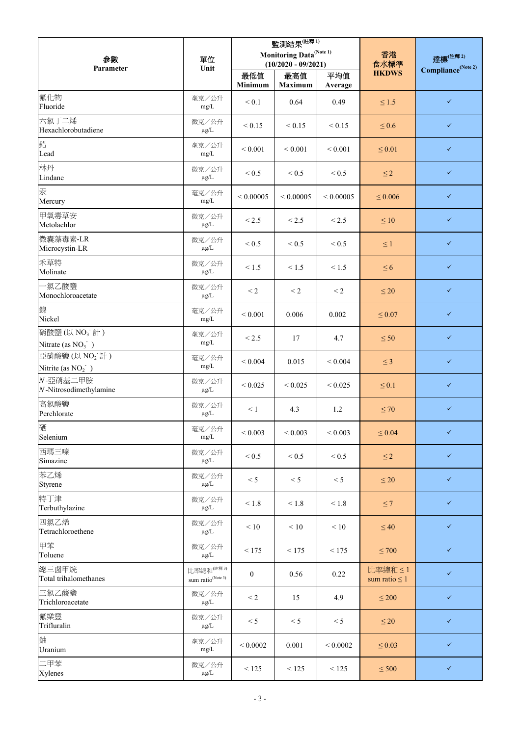| 参數<br>Parameter                       | 單位<br>Unit                                             | 監測結果 $\overline{\mathbb{H}^{(\hat{\mathbf{H}}^{\overline{\mathbf{R}}_{1})}}}$<br>Monitoring Data <sup>(Note 1)</sup><br>$(10/2020 - 09/2021)$ |                       |                | 香港<br>食水標準                    | 達標(注釋 2)<br>Compliance <sup>(Note 2)</sup> |
|---------------------------------------|--------------------------------------------------------|-----------------------------------------------------------------------------------------------------------------------------------------------|-----------------------|----------------|-------------------------------|--------------------------------------------|
|                                       |                                                        | 最低值<br>Minimum                                                                                                                                | 最高值<br><b>Maximum</b> | 平均值<br>Average | <b>HKDWS</b>                  |                                            |
| 氟化物<br>Fluoride                       | 毫克/公升<br>mg/L                                          | < 0.1                                                                                                                                         | 0.64                  | 0.49           | $\leq 1.5$                    | $\checkmark$                               |
| 六氯丁二烯<br>Hexachlorobutadiene          | 微克/公升<br>$\mu$ g/L                                     | ${}_{0.15}$                                                                                                                                   | < 0.15                | < 0.15         | $\leq 0.6$                    | $\checkmark$                               |
| 鉛<br>Lead                             | 毫克/公升<br>mg/L                                          | ${}< 0.001$                                                                                                                                   | ${}< 0.001$           | ${}< 0.001$    | $\leq 0.01$                   | $\checkmark$                               |
| 林丹<br>Lindane                         | 微克/公升<br>$\mu$ g/L                                     | < 0.5                                                                                                                                         | ${}_{\leq 0.5}$       | < 0.5          | $\leq$ 2                      | $\checkmark$                               |
| 汞<br>Mercury                          | 毫克/公升<br>mg/L                                          | ${}< 0.00005$                                                                                                                                 | ${}< 0.00005$         | ${}< 0.00005$  | $\leq 0.006$                  | $\checkmark$                               |
| 甲氧毒草安<br>Metolachlor                  | 微克/公升<br>$\mu$ g/L                                     | ${}_{< 2.5}$                                                                                                                                  | < 2.5                 | < 2.5          | $\leq 10$                     | $\checkmark$                               |
| 微囊藻毒素-LR<br>Microcystin-LR            | 微克/公升<br>μg/L                                          | < 0.5                                                                                                                                         | ${}_{\leq 0.5}$       | < 0.5          | $\leq 1$                      | $\checkmark$                               |
| 禾草特<br>Molinate                       | 微克/公升<br>$\mu$ g/L                                     | < 1.5                                                                                                                                         | < 1.5                 | < 1.5          | $\leq 6$                      | $\checkmark$                               |
| 一氯乙酸鹽<br>Monochloroacetate            | 微克/公升<br>$\mu$ g/L                                     | $\leq$ 2                                                                                                                                      | $\leq$ 2              | $\leq$ 2       | $\leq 20$                     | $\checkmark$                               |
| 鎳<br>Nickel                           | 毫克/公升<br>mg/L                                          | ${}< 0.001$                                                                                                                                   | 0.006                 | 0.002          | $\leq 0.07$                   | $\checkmark$                               |
| 硝酸鹽(以 NO3 計)<br>Nitrate (as $NO3$ )   | 毫克/公升<br>mg/L                                          | ${}_{< 2.5}$                                                                                                                                  | 17                    | 4.7            | $\leq 50$                     | $\checkmark$                               |
| 亞硝酸鹽(以 NO2 計)<br>Nitrite (as $NO2$ )  | 毫克/公升<br>mg/L                                          | ${}< 0.004$                                                                                                                                   | 0.015                 | ${}< 0.004$    | $\leq$ 3                      | $\checkmark$                               |
| N-亞硝基二甲胺<br>$N$ -Nitrosodimethylamine | 微克/公升<br>$\mu$ g/L                                     | ${}< 0.025$                                                                                                                                   | ${}< 0.025$           | ${}< 0.025$    | $\leq 0.1$                    | $\checkmark$                               |
| 高氯酸鹽<br>Perchlorate                   | 微克/公升<br>$\mu$ g/L                                     | $\leq 1$                                                                                                                                      | 4.3                   | 1.2            | $\leq 70$                     | $\checkmark$                               |
| 硒<br>Selenium                         | 毫克/公升<br>mg/L                                          | ${}< 0.003$                                                                                                                                   | ${}< 0.003$           | ${}< 0.003$    | $\leq 0.04$                   | $\checkmark$                               |
| 西瑪三嗪<br>Simazine                      | 微克/公升<br>$\mu$ g/L                                     | < 0.5                                                                                                                                         | < 0.5                 | < 0.5          | $\leq$ 2                      | $\checkmark$                               |
| 苯乙烯<br>Styrene                        | 微克/公升<br>$\mu$ g/L                                     | < 5                                                                                                                                           | < 5                   | < 5            | $\leq 20$                     | $\checkmark$                               |
| 特丁津<br>Terbuthylazine                 | 微克/公升<br>$\mu$ g/L                                     | $\leq 1.8$                                                                                                                                    | < 1.8                 | $<1.8$         | $\leq 7$                      | $\checkmark$                               |
| 四氯乙烯<br>Tetrachloroethene             | 微克/公升<br>μg/L                                          | < 10                                                                                                                                          | $\leq 10$             | < 10           | $\leq 40$                     | $\checkmark$                               |
| 甲苯<br>Toluene                         | 微克/公升<br>$\mu$ g/L                                     | < 175                                                                                                                                         | < 175                 | < 175          | $\leq 700$                    | $\checkmark$                               |
| 總三鹵甲烷<br>Total trihalomethanes        | 比率總和 <sup>(註釋3)</sup><br>sum ratio <sup>(Note 3)</sup> | $\mathbf{0}$                                                                                                                                  | 0.56                  | 0.22           | 比率總和 ≤1<br>sum ratio $\leq 1$ | $\checkmark$                               |
| 三氯乙酸鹽<br>Trichloroacetate             | 微克/公升<br>$\mu$ g/L                                     | $\leq$ 2                                                                                                                                      | 15                    | 4.9            | $\leq 200$                    | $\checkmark$                               |
| 氟樂靈<br>Trifluralin                    | 微克/公升<br>$\mu$ g/L                                     | < 5                                                                                                                                           | < 5                   | < 5            | $\leq 20$                     | $\checkmark$                               |
| 鈾<br>Uranium                          | 毫克/公升<br>mg/L                                          | ${}< 0.0002$                                                                                                                                  | 0.001                 | ${}< 0.0002$   | $\leq 0.03$                   | $\checkmark$                               |
| 二甲苯<br>Xylenes                        | 微克/公升<br>$\mu$ g/L                                     | < 125                                                                                                                                         | < 125                 | < 125          | $\leq 500$                    | $\checkmark$                               |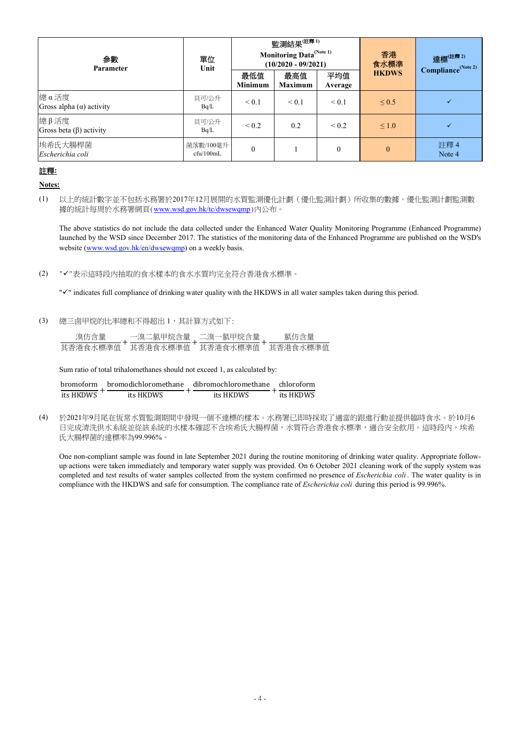| 参數<br>Parameter                         | 單位<br>Unit             | 監測結果 $^\mathrm{(\hat{\texttt{i}}\tilde{\texttt{r}}^{\overline{\texttt{r}}_{1})}}$<br><b>Monitoring Data</b> <sup>(Note 1)</sup><br>$(10/2020 - 09/2021)$ |                       |                | 香港<br>食水標準   | 達標(註釋2)<br>Compliance <sup>(Note 2)</sup> |
|-----------------------------------------|------------------------|----------------------------------------------------------------------------------------------------------------------------------------------------------|-----------------------|----------------|--------------|-------------------------------------------|
|                                         |                        | 最低值<br><b>Minimum</b>                                                                                                                                    | 最高值<br><b>Maximum</b> | 平均值<br>Average | <b>HKDWS</b> |                                           |
| 總α活度<br>Gross alpha $(\alpha)$ activity | 貝可/公升<br>Bq/L          | $\leq 0.1$                                                                                                                                               | $\leq 0.1$            | $\leq 0.1$     | $\leq 0.5$   |                                           |
| 總β活度<br>Gross beta $(\beta)$ activity   | 貝可/公升<br>Bq/L          | ${}_{0.2}$                                                                                                                                               | 0.2                   | ${}_{0.2}$     | $\leq 1.0$   |                                           |
| 埃希氏大腸桿菌<br>Escherichia coli             | 菌落數/100毫升<br>cfu/100mL | $\overline{0}$                                                                                                                                           |                       | $\theta$       | $\Omega$     | 註釋 4<br>Note 4                            |

### 註釋**:**

### **Notes:**

The above statistics do not include the data collected under the Enhanced Water Quality Monitoring Programme (Enhanced Programme) launched by the WSD since December 2017. The statistics of the monitoring data of the Enhanced Programme are published on the WSD's website (www.wsd.gov.hk/en/dwsewqmp) on a weekly basis.

(2) ""表示這時段內抽取的食水樣本的食水水質均完全符合香港食水標準。

" $V$ " indicates full compliance of drinking water quality with the HKDWS in all water samples taken during this period.

(3) 總三鹵甲烷的比率總和不得超出 1,其計算方式如下:

|          | $\overline{H}$ | ℡   | ⊞      |
|----------|----------------|-----|--------|
| 具否港      | 辉少压 化自         | !凖値 | 1.世/世伯 |
| 7.3 2年1日 | -              | 不四  | u.     |

Sum ratio of total trihalomethanes should not exceed 1, as calculated by:

|           |           | bromoform bromodichloromethane dibromochloromethane chloroform |           |
|-----------|-----------|----------------------------------------------------------------|-----------|
| its HKDWS | its HKDWS | its HKDWS                                                      | its HKDWS |

(4) 於2021年9月尾在恆常水質監測期間中發現一個不達標的樣本。水務署已即時採取了適當的跟進行動並提供臨時食水。於10月6 日完成清洗供水系統並從該系統的水樣本確認不含埃希氏大腸桿菌,水質符合香港食水標準,適合安全飲用。這時段內,埃希 氏大腸桿菌的達標率為99.996%。

One non-compliant sample was found in late September 2021 during the routine monitoring of drinking water quality. Appropriate followup actions were taken immediately and temporary water supply was provided. On 6 October 2021 cleaning work of the supply system was completed and test results of water samples collected from the system confirmed no presence of *Escherichia coli* . The water quality is in compliance with the HKDWS and safe for consumption. The compliance rate of *Escherichia coli* during this period is 99.996%.

<sup>(1)</sup> 以上的統計數字並不包括水務署於2017年12月展開的水質監測優化計劃(優化監測計劃)所收集的數據。優化監測計劃監測數 據的統計每周於水務署網頁(www.wsd.gov.hk/tc/dwsewqmp)內公布。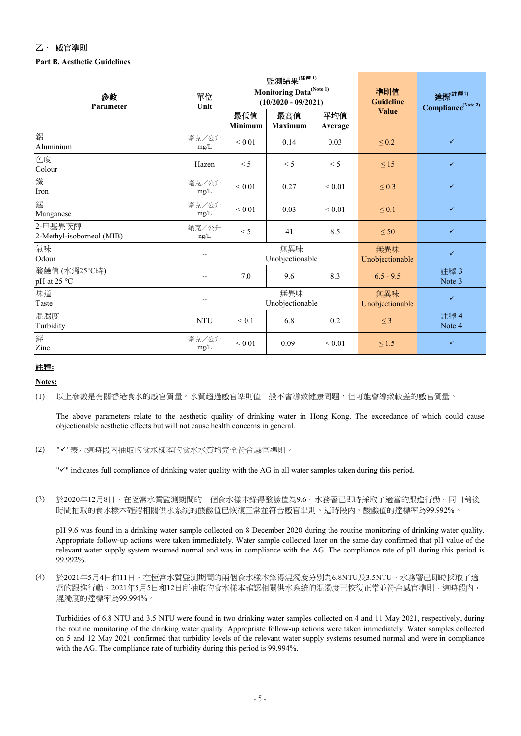# 乙、感官準則

## **Part B. Aesthetic Guidelines**

| 参數<br>Parameter                      | 單位<br>Unit      | 監測結果 $^\mathrm{(\hat{\texttt{i}}^{\tilde{\texttt{f}}\tilde{\texttt{f}}^{\tilde{\texttt{f}}}})}$<br>Monitoring Data <sup>(Note 1)</sup><br>$(10/2020 - 09/2021)$ |                       |                        | 準則值<br><b>Guideline</b> | 達標(注 <sup>釋2)</sup><br>Compliance <sup>(Note 2)</sup> |
|--------------------------------------|-----------------|-----------------------------------------------------------------------------------------------------------------------------------------------------------------|-----------------------|------------------------|-------------------------|-------------------------------------------------------|
|                                      |                 | 最低值<br><b>Minimum</b>                                                                                                                                           | 最高值<br><b>Maximum</b> | 平均值<br>Average         | Value                   |                                                       |
| 鋁<br>Aluminium                       | 毫克/公升<br>mg/L   | ${}< 0.01$                                                                                                                                                      | 0.14                  | 0.03                   | $\leq 0.2$              | $\checkmark$                                          |
| 色度<br>Colour                         | Hazen           | $\leq$ 5                                                                                                                                                        | < 5                   | < 5                    | $\leq 15$               | $\checkmark$                                          |
| 鐵<br>Iron                            | 毫克/公升<br>$mg/L$ | ${}_{0.01}$                                                                                                                                                     | 0.27                  | ${}_{0.01}$            | $\leq 0.3$              | $\checkmark$                                          |
| 錳<br>Manganese                       | 毫克/公升<br>mg/L   | ${}_{0.01}$                                                                                                                                                     | 0.03                  | ${}< 0.01$             | $\leq 0.1$              | $\checkmark$                                          |
| 2-甲基異茨醇<br>2-Methyl-isoborneol (MIB) | 納克/公升<br>ng/L   | $\leq$ 5                                                                                                                                                        | 41                    | 8.5                    | $\leq 50$               | $\checkmark$                                          |
| 氣味<br>Odour                          | --              | 無異味<br>Unobjectionable                                                                                                                                          |                       | 無異味<br>Unobjectionable | $\checkmark$            |                                                       |
| 酸鹼值 (水溫25℃時)<br>pH at 25 °C          | $-$             | 7.0                                                                                                                                                             | 9.6                   | 8.3                    | $6.5 - 9.5$             | 註釋3<br>Note 3                                         |
| 味道<br>Taste                          | --              | 無異味<br>Unobjectionable                                                                                                                                          |                       |                        | 無異味<br>Unobjectionable  | $\checkmark$                                          |
| 混濁度<br>Turbidity                     | <b>NTU</b>      | ${}< 0.1$                                                                                                                                                       | 6.8                   | 0.2                    | $\leq$ 3                | 註釋 4<br>Note 4                                        |
| 鋅<br>Zinc                            | 毫克/公升<br>mg/L   | ${}_{0.01}$                                                                                                                                                     | 0.09                  | ${}_{0.01}$            | $\leq 1.5$              | ✓                                                     |

## 註釋**:**

## **Notes:**

#### (1) 以上參數是有關香港食水的感官質量。水質超過感官準則值一般不會導致健康問題,但可能會導致較差的感官質量。

The above parameters relate to the aesthetic quality of drinking water in Hong Kong. The exceedance of which could cause objectionable aesthetic effects but will not cause health concerns in general.

(2) "√"表示這時段內抽取的食水樣本的食水水質均完全符合感官準則。

 $\sqrt{ }$  indicates full compliance of drinking water quality with the AG in all water samples taken during this period.

(3) 於2020年12月8日,在恆常水質監測期間的一個食水樣本錄得酸鹼值為9.6。水務署已即時採取了適當的跟進行動。同日稍後 時間抽取的食水樣本確認相關供水系統的酸鹼值已恢復正常並符合感官準則。這時段內,酸鹼值的達標率為99.992%。

pH 9.6 was found in a drinking water sample collected on 8 December 2020 during the routine monitoring of drinking water quality. Appropriate follow-up actions were taken immediately. Water sample collected later on the same day confirmed that pH value of the relevant water supply system resumed normal and was in compliance with the AG. The compliance rate of pH during this period is 99.992%.

(4) 於2021年5月4日和11日,在恆常水質監測期間的兩個食水樣本錄得混濁度分別為6.8NTU及3.5NTU。水務署已即時採取了適 當的跟進行動。2021年5月5日和12日所抽取的食水樣本確認相關供水系統的混濁度已恢復正常並符合感官準則。這時段內, 混濁度的達標率為99.994%。

Turbidities of 6.8 NTU and 3.5 NTU were found in two drinking water samples collected on 4 and 11 May 2021, respectively, during the routine monitoring of the drinking water quality. Appropriate follow-up actions were taken immediately. Water samples collected on 5 and 12 May 2021 confirmed that turbidity levels of the relevant water supply systems resumed normal and were in compliance with the AG. The compliance rate of turbidity during this period is 99.994%.